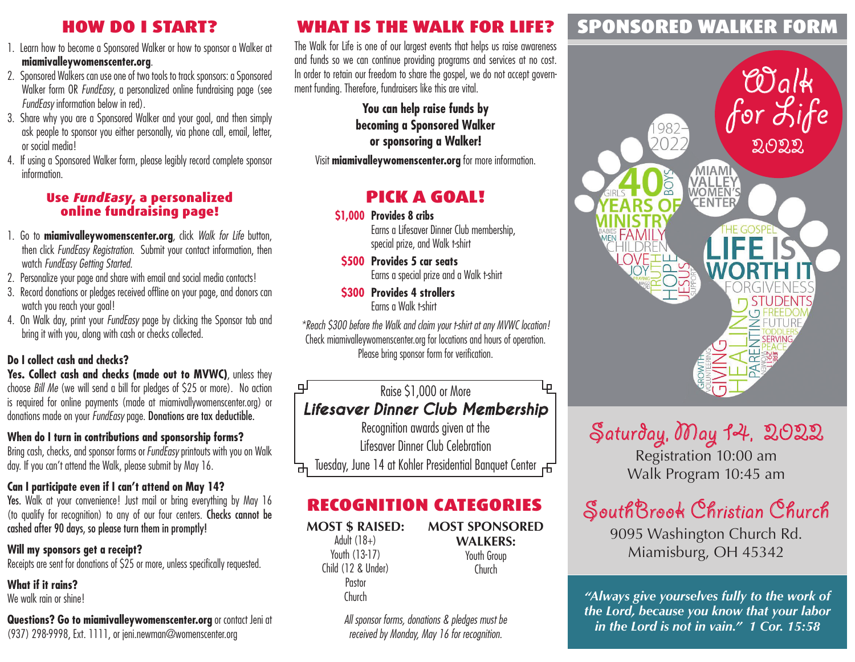## HOW DO I START?

- 1. Learn how to become a Sponsored Walker or how to sponsor a Walker at **miamivalleywomenscenter.org**.
- 2. Sponsored Walkers can use one of two tools to track sponsors: a Sponsored Walker form OR *FundEasy*, a personalized online fundraising page (see *FundEasy* information below in red).
- 3. Share why you are a Sponsored Walker and your goal, and then simply ask people to sponsor you either personally, via phone call, email, letter, or social media!
- 4. If using a Sponsored Walker form, please legibly record complete sponsor information.

#### Use FundEasy, a personalized online fundraising page!

- 1. Go to **miamivalleywomenscenter.org**, click *Walk for Life* button, then click *FundEasy Registration*. Submit your contact information, then watch *FundEasy Getting Started*.
- 2. Personalize your page and share with email and social media contacts!
- 3. Record donations or pledges received offline on your page, and donors can watch you reach your goal!
- 4. On Walk day, print your *FundEasy* page by clicking the Sponsor tab and bring it with you, along with cash or checks collected.

### **Do I collect cash and checks?**

**Yes. Collect cash and checks (made out to MVWC)**, unless they choose *Bill Me* (we will send a bill for pledges of \$25 or more). No action is required for online payments (made at miamivallywomenscenter.org) or donations made on your *FundEasy* page. Donations are tax deductible.

### **When do I turn in contributions and sponsorship forms?**

Bring cash, checks, and sponsor forms or *FundEasy* printouts with you on Walk day. If you can't attend the Walk, please submit by May 16.

### **Can I participate even if I can't attend on May 14?**

Yes. Walk at your convenience! Just mail or bring everything by May 16 (to qualify for recognition) to any of our four centers. Checks cannot be cashed after 90 days, so please turn them in promptly!

#### **Will my sponsors get a receipt?** Receipts are sent for donations of \$25 or more, unless specifically requested.

**What if it rains?** We walk rain or shine!

**Questions? Go to miamivalleywomenscenter.org** or contact Jeni at (937) 298-9998, Ext. 1111, or jeni.newman@womenscenter.org

## WHAT IS THE WALK FOR LIFE?

The Walk for Life is one of our largest events that helps us raise awareness and funds so we can continue providing programs and services at no cost. In order to retain our freedom to share the gospel, we do not accept government funding. Therefore, fundraisers like this are vital.

> **You can help raise funds by becoming a Sponsored Walker or sponsoring a Walker!**

Visit **miamivalleywomenscenter.org** for more information.

## PICK A GOAL!

**\$1,000 Provides 8 cribs**

Earns a Lifesaver Dinner Club membership, special prize, and Walk t-shirt

- **\$500 Provides 5 car seats** Earns a special prize and a Walk t-shirt
- **\$300 Provides 4 strollers** Earns a Walk t-shirt

*\*Reach \$300 before the Walk and claim your t-shirt at any MVWC location!*  Check miamivalleywomenscenter.org for locations and hours of operation. Please bring sponsor form for verification.

#### பு Raise \$1,000 or More Ļρ *Lifesaver Dinner Club Membership* Recognition awards given at the

Lifesaver Dinner Club Celebration Tuesday, June 14 at Kohler Presidential Banquet Center

## RECOGNITION CATEGORIES

#### **MOST \$ RAISED:** Adult  $(18+)$ Youth (13-17) Child (12 & Under) Pastor

Church

**MOST SPONSORED WALKERS:** Youth Group Church

*All sponsor forms, donations & pledges must be received by Monday, May 16 for recognition.*

## SPONSORED WALKER FORM





Registration 10:00 am Walk Program 10:45 am

# SouthBrook Christian Church

9095 Washington Church Rd. Miamisburg, OH 45342

*"Always give yourselves fully to the work of the Lord, because you know that your labor in the Lord is not in vain." 1 Cor. 15:58*